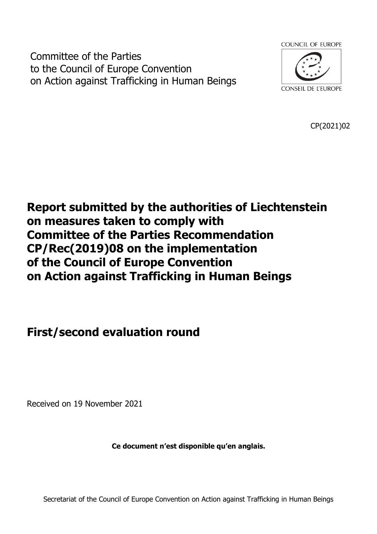Committee of the Parties to the Council of Europe Convention on Action against Trafficking in Human Beings



CP(2021)02

# **Report submitted by the authorities of Liechtenstein on measures taken to comply with Committee of the Parties Recommendation CP/Rec(2019)08 on the implementation of the Council of Europe Convention on Action against Trafficking in Human Beings**

# **First/second evaluation round**

Received on 19 November 2021

**Ce document n'est disponible qu'en anglais.**

Secretariat of the Council of Europe Convention on Action against Trafficking in Human Beings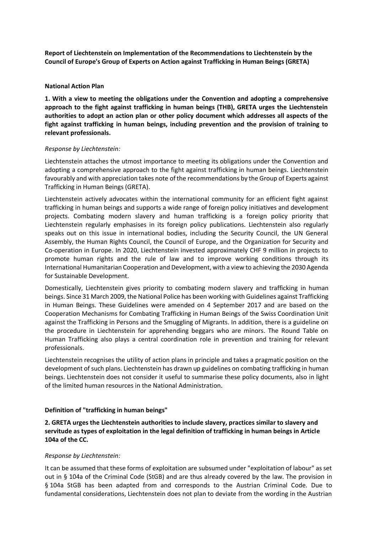**Report of Liechtenstein on Implementation of the Recommendations to Liechtenstein by the Council of Europe's Group of Experts on Action against Trafficking in Human Beings (GRETA)**

## **National Action Plan**

**1. With a view to meeting the obligations under the Convention and adopting a comprehensive approach to the fight against trafficking in human beings (THB), GRETA urges the Liechtenstein authorities to adopt an action plan or other policy document which addresses all aspects of the fight against trafficking in human beings, including prevention and the provision of training to relevant professionals.**

## *Response by Liechtenstein:*

Liechtenstein attaches the utmost importance to meeting its obligations under the Convention and adopting a comprehensive approach to the fight against trafficking in human beings. Liechtenstein favourably and with appreciation takes note of the recommendations by the Group of Experts against Trafficking in Human Beings (GRETA).

Liechtenstein actively advocates within the international community for an efficient fight against trafficking in human beings and supports a wide range of foreign policy initiatives and development projects. Combating modern slavery and human trafficking is a foreign policy priority that Liechtenstein regularly emphasises in its foreign policy publications. Liechtenstein also regularly speaks out on this issue in international bodies, including the Security Council, the UN General Assembly, the Human Rights Council, the Council of Europe, and the Organization for Security and Co-operation in Europe. In 2020, Liechtenstein invested approximately CHF 9 million in projects to promote human rights and the rule of law and to improve working conditions through its International Humanitarian Cooperation and Development, with a view to achieving the 2030 Agenda for Sustainable Development.

Domestically, Liechtenstein gives priority to combating modern slavery and trafficking in human beings. Since 31 March 2009, the National Police has been working with Guidelines against Trafficking in Human Beings. These Guidelines were amended on 4 September 2017 and are based on the Cooperation Mechanisms for Combating Trafficking in Human Beings of the Swiss Coordination Unit against the Trafficking in Persons and the Smuggling of Migrants. In addition, there is a guideline on the procedure in Liechtenstein for apprehending beggars who are minors. The Round Table on Human Trafficking also plays a central coordination role in prevention and training for relevant professionals.

Liechtenstein recognises the utility of action plans in principle and takes a pragmatic position on the development of such plans. Liechtenstein has drawn up guidelines on combating trafficking in human beings. Liechtenstein does not consider it useful to summarise these policy documents, also in light of the limited human resources in the National Administration.

#### **Definition of "trafficking in human beings"**

**2. GRETA urges the Liechtenstein authorities to include slavery, practices similar to slavery and servitude as types of exploitation in the legal definition of trafficking in human beings in Article 104a of the CC.**

## *Response by Liechtenstein:*

It can be assumed that these forms of exploitation are subsumed under "exploitation of labour" as set out in § 104a of the Criminal Code (StGB) and are thus already covered by the law. The provision in § 104a StGB has been adapted from and corresponds to the Austrian Criminal Code. Due to fundamental considerations, Liechtenstein does not plan to deviate from the wording in the Austrian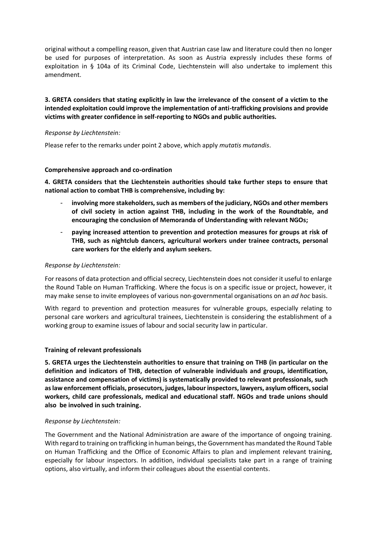original without a compelling reason, given that Austrian case law and literature could then no longer be used for purposes of interpretation. As soon as Austria expressly includes these forms of exploitation in § 104a of its Criminal Code, Liechtenstein will also undertake to implement this amendment.

# **3. GRETA considers that stating explicitly in law the irrelevance of the consent of a victim to the intended exploitation could improve the implementation of anti-trafficking provisions and provide victims with greater confidence in self-reporting to NGOs and public authorities.**

## *Response by Liechtenstein:*

Please refer to the remarks under point 2 above, which apply *mutatis mutandis*.

## **Comprehensive approach and co-ordination**

**4. GRETA considers that the Liechtenstein authorities should take further steps to ensure that national action to combat THB is comprehensive, including by:**

- **involving more stakeholders, such as members of the judiciary, NGOs and other members of civil society in action against THB, including in the work of the Roundtable, and encouraging the conclusion of Memoranda of Understanding with relevant NGOs;**
- **paying increased attention to prevention and protection measures for groups at risk of THB, such as nightclub dancers, agricultural workers under trainee contracts, personal care workers for the elderly and asylum seekers.**

## *Response by Liechtenstein:*

For reasons of data protection and official secrecy, Liechtenstein does not consider it useful to enlarge the Round Table on Human Trafficking. Where the focus is on a specific issue or project, however, it may make sense to invite employees of various non-governmental organisations on an *ad hoc* basis.

With regard to prevention and protection measures for vulnerable groups, especially relating to personal care workers and agricultural trainees, Liechtenstein is considering the establishment of a working group to examine issues of labour and social security law in particular.

## **Training of relevant professionals**

**5. GRETA urges the Liechtenstein authorities to ensure that training on THB (in particular on the definition and indicators of THB, detection of vulnerable individuals and groups, identification, assistance and compensation of victims) is systematically provided to relevant professionals, such as law enforcement officials, prosecutors, judges, labour inspectors, lawyers, asylum officers, social workers, child care professionals, medical and educational staff. NGOs and trade unions should also be involved in such training.**

#### *Response by Liechtenstein:*

The Government and the National Administration are aware of the importance of ongoing training. With regard to training on trafficking in human beings, the Government has mandated the Round Table on Human Trafficking and the Office of Economic Affairs to plan and implement relevant training, especially for labour inspectors. In addition, individual specialists take part in a range of training options, also virtually, and inform their colleagues about the essential contents.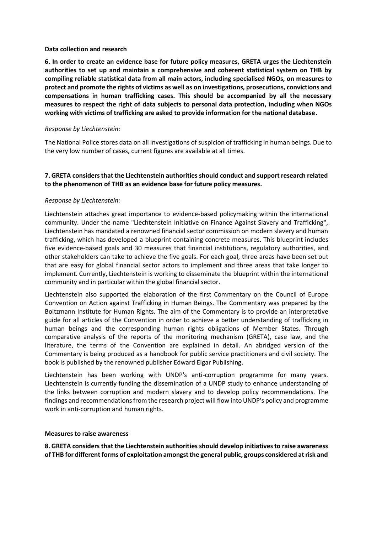## **Data collection and research**

**6. In order to create an evidence base for future policy measures, GRETA urges the Liechtenstein authorities to set up and maintain a comprehensive and coherent statistical system on THB by compiling reliable statistical data from all main actors, including specialised NGOs, on measures to protect and promote the rights of victims as well as on investigations, prosecutions, convictions and compensations in human trafficking cases. This should be accompanied by all the necessary measures to respect the right of data subjects to personal data protection, including when NGOs working with victims of trafficking are asked to provide information for the national database.**

## *Response by Liechtenstein:*

The National Police stores data on all investigations of suspicion of trafficking in human beings. Due to the very low number of cases, current figures are available at all times.

## **7. GRETA considers that the Liechtenstein authorities should conduct and support research related to the phenomenon of THB as an evidence base for future policy measures.**

## *Response by Liechtenstein:*

Liechtenstein attaches great importance to evidence-based policymaking within the international community. Under the name "Liechtenstein Initiative on Finance Against Slavery and Trafficking", Liechtenstein has mandated a renowned financial sector commission on modern slavery and human trafficking, which has developed a blueprint containing concrete measures. This blueprint includes five evidence-based goals and 30 measures that financial institutions, regulatory authorities, and other stakeholders can take to achieve the five goals. For each goal, three areas have been set out that are easy for global financial sector actors to implement and three areas that take longer to implement. Currently, Liechtenstein is working to disseminate the blueprint within the international community and in particular within the global financial sector.

Liechtenstein also supported the elaboration of the first Commentary on the Council of Europe Convention on Action against Trafficking in Human Beings. The Commentary was prepared by the Boltzmann Institute for Human Rights. The aim of the Commentary is to provide an interpretative guide for all articles of the Convention in order to achieve a better understanding of trafficking in human beings and the corresponding human rights obligations of Member States. Through comparative analysis of the reports of the monitoring mechanism (GRETA), case law, and the literature, the terms of the Convention are explained in detail. An abridged version of the Commentary is being produced as a handbook for public service practitioners and civil society. The book is published by the renowned publisher Edward Elgar Publishing.

Liechtenstein has been working with UNDP's anti-corruption programme for many years. Liechtenstein is currently funding the dissemination of a UNDP study to enhance understanding of the links between corruption and modern slavery and to develop policy recommendations. The findings and recommendations from the research project will flow into UNDP's policy and programme work in anti-corruption and human rights.

#### **Measures to raise awareness**

**8. GRETA considers that the Liechtenstein authorities should develop initiatives to raise awareness of THB for different forms of exploitation amongst the general public, groups considered at risk and**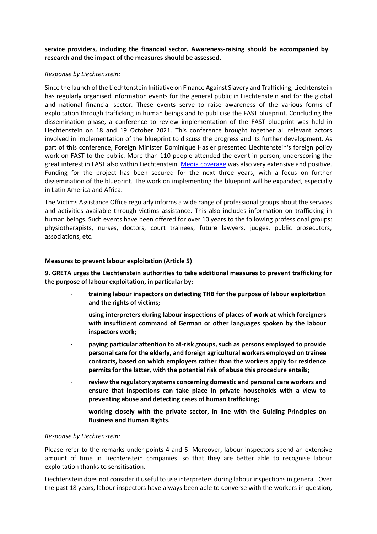**service providers, including the financial sector. Awareness-raising should be accompanied by research and the impact of the measures should be assessed.**

## *Response by Liechtenstein:*

Since the launch of the Liechtenstein Initiative on Finance Against Slavery and Trafficking, Liechtenstein has regularly organised information events for the general public in Liechtenstein and for the global and national financial sector. These events serve to raise awareness of the various forms of exploitation through trafficking in human beings and to publicise the FAST blueprint. Concluding the dissemination phase, a conference to review implementation of the FAST blueprint was held in Liechtenstein on 18 and 19 October 2021. This conference brought together all relevant actors involved in implementation of the blueprint to discuss the progress and its further development. As part of this conference, Foreign Minister Dominique Hasler presented Liechtenstein's foreign policy work on FAST to the public. More than 110 people attended the event in person, underscoring the great interest in FAST also within Liechtenstein. [Media coverage](https://www.fastinitiative.org/get-involved/press/) was also very extensive and positive. Funding for the project has been secured for the next three years, with a focus on further dissemination of the blueprint. The work on implementing the blueprint will be expanded, especially in Latin America and Africa.

The Victims Assistance Office regularly informs a wide range of professional groups about the services and activities available through victims assistance. This also includes information on trafficking in human beings. Such events have been offered for over 10 years to the following professional groups: physiotherapists, nurses, doctors, court trainees, future lawyers, judges, public prosecutors, associations, etc.

## **Measures to prevent labour exploitation (Article 5)**

**9. GRETA urges the Liechtenstein authorities to take additional measures to prevent trafficking for the purpose of labour exploitation, in particular by:**

- **training labour inspectors on detecting THB for the purpose of labour exploitation and the rights of victims;**
- **using interpreters during labour inspections of places of work at which foreigners with insufficient command of German or other languages spoken by the labour inspectors work;**
- **paying particular attention to at-risk groups, such as persons employed to provide personal care for the elderly, and foreign agricultural workers employed on trainee contracts, based on which employers rather than the workers apply for residence permits for the latter, with the potential risk of abuse this procedure entails;**
- **review the regulatory systems concerning domestic and personal care workers and ensure that inspections can take place in private households with a view to preventing abuse and detecting cases of human trafficking;**
- working closely with the private sector, in line with the Guiding Principles on **Business and Human Rights.**

## *Response by Liechtenstein:*

Please refer to the remarks under points 4 and 5. Moreover, labour inspectors spend an extensive amount of time in Liechtenstein companies, so that they are better able to recognise labour exploitation thanks to sensitisation.

Liechtenstein does not consider it useful to use interpreters during labour inspections in general. Over the past 18 years, labour inspectors have always been able to converse with the workers in question,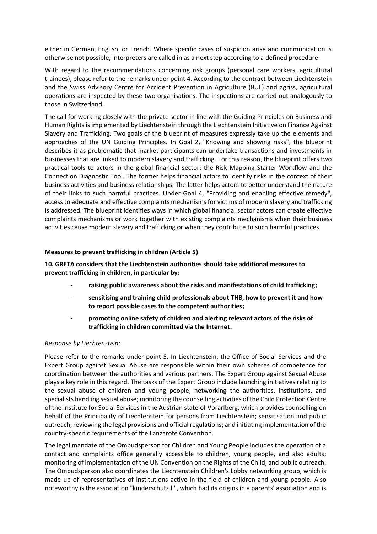either in German, English, or French. Where specific cases of suspicion arise and communication is otherwise not possible, interpreters are called in as a next step according to a defined procedure.

With regard to the recommendations concerning risk groups (personal care workers, agricultural trainees), please refer to the remarks under point 4. According to the contract between Liechtenstein and the Swiss Advisory Centre for Accident Prevention in Agriculture (BUL) and agriss, agricultural operations are inspected by these two organisations. The inspections are carried out analogously to those in Switzerland.

The call for working closely with the private sector in line with the Guiding Principles on Business and Human Rights is implemented by Liechtenstein through the Liechtenstein Initiative on Finance Against Slavery and Trafficking. Two goals of the blueprint of measures expressly take up the elements and approaches of the UN Guiding Principles. In Goal 2, "Knowing and showing risks", the blueprint describes it as problematic that market participants can undertake transactions and investments in businesses that are linked to modern slavery and trafficking. For this reason, the blueprint offers two practical tools to actors in the global financial sector: the Risk Mapping Starter Workflow and the Connection Diagnostic Tool. The former helps financial actors to identify risks in the context of their business activities and business relationships. The latter helps actors to better understand the nature of their links to such harmful practices. Under Goal 4, "Providing and enabling effective remedy", access to adequate and effective complaints mechanisms for victims of modern slavery and trafficking is addressed. The blueprint identifies ways in which global financial sector actors can create effective complaints mechanisms or work together with existing complaints mechanisms when their business activities cause modern slavery and trafficking or when they contribute to such harmful practices.

# **Measures to prevent trafficking in children (Article 5)**

**10. GRETA considers that the Liechtenstein authorities should take additional measures to prevent trafficking in children, in particular by:**

- **raising public awareness about the risks and manifestations of child trafficking;**
- **sensitising and training child professionals about THB, how to prevent it and how to report possible cases to the competent authorities;**
- **promoting online safety of children and alerting relevant actors of the risks of trafficking in children committed via the Internet.**

## *Response by Liechtenstein:*

Please refer to the remarks under point 5. In Liechtenstein, the Office of Social Services and the Expert Group against Sexual Abuse are responsible within their own spheres of competence for coordination between the authorities and various partners. The Expert Group against Sexual Abuse plays a key role in this regard. The tasks of the Expert Group include launching initiatives relating to the sexual abuse of children and young people; networking the authorities, institutions, and specialists handling sexual abuse; monitoring the counselling activities of the Child Protection Centre of the Institute for Social Services in the Austrian state of Vorarlberg, which provides counselling on behalf of the Principality of Liechtenstein for persons from Liechtenstein; sensitisation and public outreach; reviewing the legal provisions and official regulations; and initiating implementation of the country-specific requirements of the Lanzarote Convention.

The legal mandate of the Ombudsperson for Children and Young People includes the operation of a contact and complaints office generally accessible to children, young people, and also adults; monitoring of implementation of the UN Convention on the Rights of the Child, and public outreach. The Ombudsperson also coordinates the Liechtenstein Children's Lobby networking group, which is made up of representatives of institutions active in the field of children and young people. Also noteworthy is the association "kinderschutz.li", which had its origins in a parents' association and is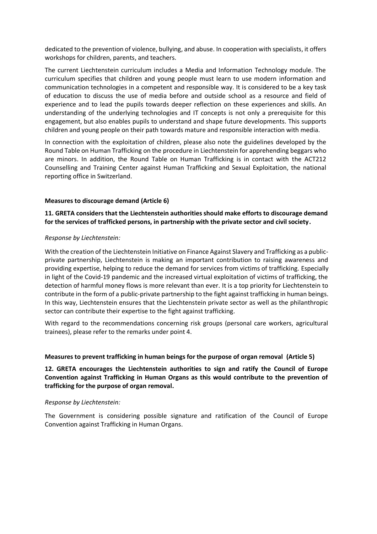dedicated to the prevention of violence, bullying, and abuse. In cooperation with specialists, it offers workshops for children, parents, and teachers.

The current Liechtenstein curriculum includes a Media and Information Technology module. The curriculum specifies that children and young people must learn to use modern information and communication technologies in a competent and responsible way. It is considered to be a key task of education to discuss the use of media before and outside school as a resource and field of experience and to lead the pupils towards deeper reflection on these experiences and skills. An understanding of the underlying technologies and IT concepts is not only a prerequisite for this engagement, but also enables pupils to understand and shape future developments. This supports children and young people on their path towards mature and responsible interaction with media.

In connection with the exploitation of children, please also note the guidelines developed by the Round Table on Human Trafficking on the procedure in Liechtenstein for apprehending beggars who are minors. In addition, the Round Table on Human Trafficking is in contact with the ACT212 Counselling and Training Center against Human Trafficking and Sexual Exploitation, the national reporting office in Switzerland.

## **Measures to discourage demand (Article 6)**

## **11. GRETA considers that the Liechtenstein authorities should make efforts to discourage demand for the services of trafficked persons, in partnership with the private sector and civil society.**

## *Response by Liechtenstein:*

With the creation of the Liechtenstein Initiative on Finance Against Slavery and Trafficking as a publicprivate partnership, Liechtenstein is making an important contribution to raising awareness and providing expertise, helping to reduce the demand for services from victims of trafficking. Especially in light of the Covid-19 pandemic and the increased virtual exploitation of victims of trafficking, the detection of harmful money flows is more relevant than ever. It is a top priority for Liechtenstein to contribute in the form of a public-private partnership to the fight against trafficking in human beings. In this way, Liechtenstein ensures that the Liechtenstein private sector as well as the philanthropic sector can contribute their expertise to the fight against trafficking.

With regard to the recommendations concerning risk groups (personal care workers, agricultural trainees), please refer to the remarks under point 4.

## **Measures to prevent trafficking in human beings for the purpose of organ removal (Article 5)**

# **12. GRETA encourages the Liechtenstein authorities to sign and ratify the Council of Europe Convention against Trafficking in Human Organs as this would contribute to the prevention of trafficking for the purpose of organ removal.**

#### *Response by Liechtenstein:*

The Government is considering possible signature and ratification of the Council of Europe Convention against Trafficking in Human Organs.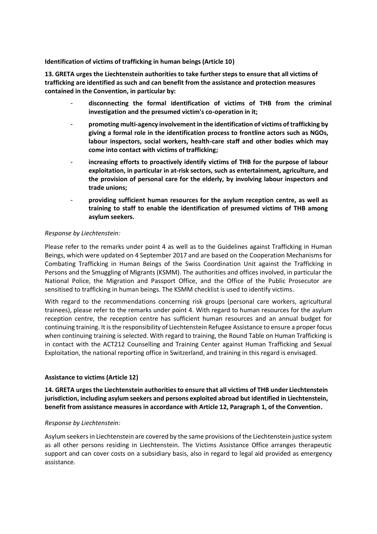**Identification of victims of trafficking in human beings (Article 10)**

**13. GRETA urges the Liechtenstein authorities to take further steps to ensure that all victims of trafficking are identified as such and can benefit from the assistance and protection measures contained in the Convention, in particular by:** 

- **disconnecting the formal identification of victims of THB from the criminal investigation and the presumed victim's co-operation in it;**
- **promoting multi-agency involvement in the identification of victims of trafficking by giving a formal role in the identification process to frontline actors such as NGOs, labour inspectors, social workers, health-care staff and other bodies which may come into contact with victims of trafficking;**
- increasing efforts to proactively identify victims of THB for the purpose of labour **exploitation, in particular in at-risk sectors, such as entertainment, agriculture, and the provision of personal care for the elderly, by involving labour inspectors and trade unions;**
- **providing sufficient human resources for the asylum reception centre, as well as training to staff to enable the identification of presumed victims of THB among asylum seekers.**

## *Response by Liechtenstein:*

Please refer to the remarks under point 4 as well as to the Guidelines against Trafficking in Human Beings, which were updated on 4 September 2017 and are based on the Cooperation Mechanisms for Combating Trafficking in Human Beings of the Swiss Coordination Unit against the Trafficking in Persons and the Smuggling of Migrants (KSMM). The authorities and offices involved, in particular the National Police, the Migration and Passport Office, and the Office of the Public Prosecutor are sensitised to trafficking in human beings. The KSMM checklist is used to identify victims.

With regard to the recommendations concerning risk groups (personal care workers, agricultural trainees), please refer to the remarks under point 4. With regard to human resources for the asylum reception centre, the reception centre has sufficient human resources and an annual budget for continuing training. It is the responsibility of Liechtenstein Refugee Assistance to ensure a proper focus when continuing training is selected. With regard to training, the Round Table on Human Trafficking is in contact with the ACT212 Counselling and Training Center against Human Trafficking and Sexual Exploitation, the national reporting office in Switzerland, and training in this regard is envisaged.

## **Assistance to victims (Article 12)**

**14. GRETA urges the Liechtenstein authorities to ensure that all victims of THB under Liechtenstein jurisdiction, including asylum seekers and persons exploited abroad but identified in Liechtenstein, benefit from assistance measures in accordance with Article 12, Paragraph 1, of the Convention.**

## *Response by Liechtenstein:*

Asylum seekers in Liechtenstein are covered by the same provisions of the Liechtenstein justice system as all other persons residing in Liechtenstein. The Victims Assistance Office arranges therapeutic support and can cover costs on a subsidiary basis, also in regard to legal aid provided as emergency assistance.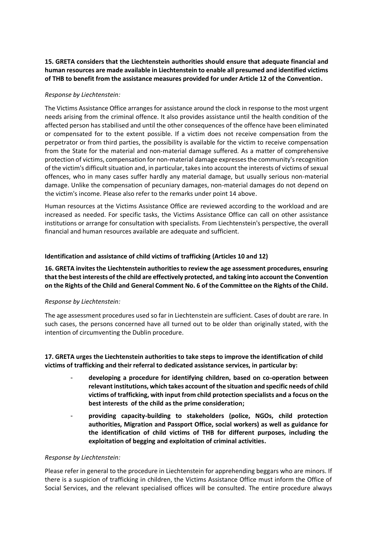# **15. GRETA considers that the Liechtenstein authorities should ensure that adequate financial and human resources are made available in Liechtenstein to enable all presumed and identified victims of THB to benefit from the assistance measures provided for under Article 12 of the Convention.**

# *Response by Liechtenstein:*

The Victims Assistance Office arranges for assistance around the clock in response to the most urgent needs arising from the criminal offence. It also provides assistance until the health condition of the affected person has stabilised and until the other consequences of the offence have been eliminated or compensated for to the extent possible. If a victim does not receive compensation from the perpetrator or from third parties, the possibility is available for the victim to receive compensation from the State for the material and non-material damage suffered. As a matter of comprehensive protection of victims, compensation for non-material damage expresses the community's recognition of the victim's difficult situation and, in particular, takes into account the interests of victims of sexual offences, who in many cases suffer hardly any material damage, but usually serious non-material damage. Unlike the compensation of pecuniary damages, non-material damages do not depend on the victim's income. Please also refer to the remarks under point 14 above.

Human resources at the Victims Assistance Office are reviewed according to the workload and are increased as needed. For specific tasks, the Victims Assistance Office can call on other assistance institutions or arrange for consultation with specialists. From Liechtenstein's perspective, the overall financial and human resources available are adequate and sufficient.

# **Identification and assistance of child victims of trafficking (Articles 10 and 12)**

**16. GRETA invites the Liechtenstein authorities to review the age assessment procedures, ensuring that the best interests of the child are effectively protected, and taking into account the Convention on the Rights of the Child and General Comment No. 6 of the Committee on the Rights of the Child.**

## *Response by Liechtenstein:*

The age assessment procedures used so far in Liechtenstein are sufficient. Cases of doubt are rare. In such cases, the persons concerned have all turned out to be older than originally stated, with the intention of circumventing the Dublin procedure.

**17. GRETA urges the Liechtenstein authorities to take steps to improve the identification of child victims of trafficking and their referral to dedicated assistance services, in particular by:**

- **developing a procedure for identifying children, based on co-operation between relevant institutions, which takes account of the situation and specific needs of child victims of trafficking, with input from child protection specialists and a focus on the best interests of the child as the prime consideration;**
- **providing capacity-building to stakeholders (police, NGOs, child protection authorities, Migration and Passport Office, social workers) as well as guidance for the identification of child victims of THB for different purposes, including the exploitation of begging and exploitation of criminal activities.**

## *Response by Liechtenstein:*

Please refer in general to the procedure in Liechtenstein for apprehending beggars who are minors. If there is a suspicion of trafficking in children, the Victims Assistance Office must inform the Office of Social Services, and the relevant specialised offices will be consulted. The entire procedure always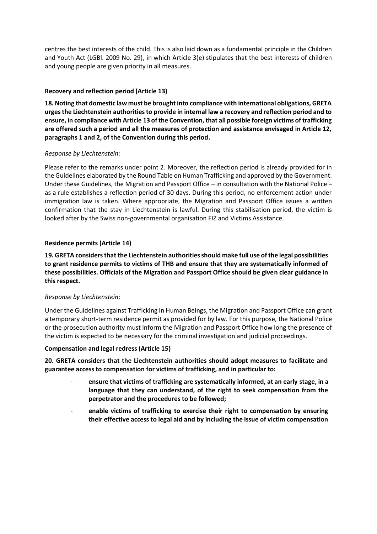centres the best interests of the child. This is also laid down as a fundamental principle in the Children and Youth Act (LGBl. 2009 No. 29), in which Article 3(e) stipulates that the best interests of children and young people are given priority in all measures.

# **Recovery and reflection period (Article 13)**

**18. Noting that domestic law must be brought into compliance with international obligations, GRETA urges the Liechtenstein authorities to provide in internal law a recovery and reflection period and to ensure, in compliance with Article 13 of the Convention, that all possible foreign victims of trafficking are offered such a period and all the measures of protection and assistance envisaged in Article 12, paragraphs 1 and 2, of the Convention during this period.**

# *Response by Liechtenstein:*

Please refer to the remarks under point 2. Moreover, the reflection period is already provided for in the Guidelines elaborated by the Round Table on Human Trafficking and approved by the Government. Under these Guidelines, the Migration and Passport Office – in consultation with the National Police – as a rule establishes a reflection period of 30 days. During this period, no enforcement action under immigration law is taken. Where appropriate, the Migration and Passport Office issues a written confirmation that the stay in Liechtenstein is lawful. During this stabilisation period, the victim is looked after by the Swiss non-governmental organisation FIZ and Victims Assistance.

# **Residence permits (Article 14)**

**19. GRETA considers that the Liechtenstein authorities should make full use of the legal possibilities to grant residence permits to victims of THB and ensure that they are systematically informed of these possibilities. Officials of the Migration and Passport Office should be given clear guidance in this respect.**

# *Response by Liechtenstein:*

Under the Guidelines against Trafficking in Human Beings, the Migration and Passport Office can grant a temporary short-term residence permit as provided for by law. For this purpose, the National Police or the prosecution authority must inform the Migration and Passport Office how long the presence of the victim is expected to be necessary for the criminal investigation and judicial proceedings.

## **Compensation and legal redress (Article 15)**

**20. GRETA considers that the Liechtenstein authorities should adopt measures to facilitate and guarantee access to compensation for victims of trafficking, and in particular to:**

- **ensure that victims of trafficking are systematically informed, at an early stage, in a language that they can understand, of the right to seek compensation from the perpetrator and the procedures to be followed;**
- enable victims of trafficking to exercise their right to compensation by ensuring **their effective access to legal aid and by including the issue of victim compensation**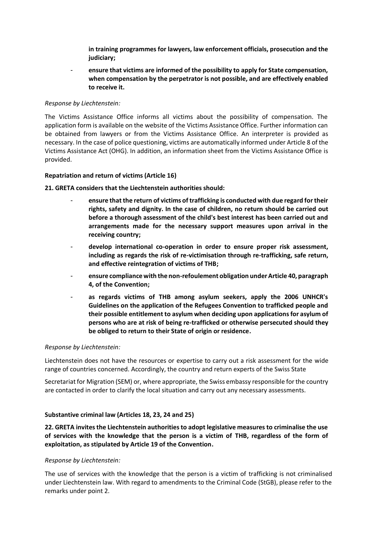**in training programmes for lawyers, law enforcement officials, prosecution and the judiciary;**

- **ensure that victims are informed of the possibility to apply for State compensation, when compensation by the perpetrator is not possible, and are effectively enabled to receive it.**

## *Response by Liechtenstein:*

The Victims Assistance Office informs all victims about the possibility of compensation. The application form is available on the website of the Victims Assistance Office. Further information can be obtained from lawyers or from the Victims Assistance Office. An interpreter is provided as necessary. In the case of police questioning, victims are automatically informed under Article 8 of the Victims Assistance Act (OHG). In addition, an information sheet from the Victims Assistance Office is provided.

# **Repatriation and return of victims (Article 16)**

# **21. GRETA considers that the Liechtenstein authorities should:**

- **ensure that the return of victims of trafficking is conducted with due regard for their rights, safety and dignity. In the case of children, no return should be carried out before a thorough assessment of the child's best interest has been carried out and arrangements made for the necessary support measures upon arrival in the receiving country;**
- **develop international co-operation in order to ensure proper risk assessment, including as regards the risk of re-victimisation through re-trafficking, safe return, and effective reintegration of victims of THB;**
- **ensure compliance with the non-refoulement obligation under Article 40, paragraph 4, of the Convention;**
- **as regards victims of THB among asylum seekers, apply the 2006 UNHCR's Guidelines on the application of the Refugees Convention to trafficked people and their possible entitlement to asylum when deciding upon applications for asylum of persons who are at risk of being re-trafficked or otherwise persecuted should they be obliged to return to their State of origin or residence.**

## *Response by Liechtenstein:*

Liechtenstein does not have the resources or expertise to carry out a risk assessment for the wide range of countries concerned. Accordingly, the country and return experts of the Swiss State

Secretariat for Migration (SEM) or, where appropriate, the Swiss embassy responsible for the country are contacted in order to clarify the local situation and carry out any necessary assessments.

# **Substantive criminal law (Articles 18, 23, 24 and 25)**

**22. GRETA invites the Liechtenstein authorities to adopt legislative measures to criminalise the use of services with the knowledge that the person is a victim of THB, regardless of the form of exploitation, as stipulated by Article 19 of the Convention.**

## *Response by Liechtenstein:*

The use of services with the knowledge that the person is a victim of trafficking is not criminalised under Liechtenstein law. With regard to amendments to the Criminal Code (StGB), please refer to the remarks under point 2.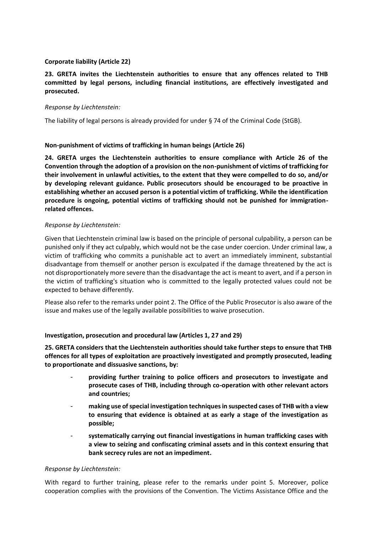# **Corporate liability (Article 22)**

# **23. GRETA invites the Liechtenstein authorities to ensure that any offences related to THB committed by legal persons, including financial institutions, are effectively investigated and prosecuted.**

## *Response by Liechtenstein:*

The liability of legal persons is already provided for under § 74 of the Criminal Code (StGB).

# **Non-punishment of victims of trafficking in human beings (Article 26)**

**24. GRETA urges the Liechtenstein authorities to ensure compliance with Article 26 of the Convention through the adoption of a provision on the non-punishment of victims of trafficking for their involvement in unlawful activities, to the extent that they were compelled to do so, and/or by developing relevant guidance. Public prosecutors should be encouraged to be proactive in establishing whether an accused person is a potential victim of trafficking. While the identification procedure is ongoing, potential victims of trafficking should not be punished for immigrationrelated offences.** 

## *Response by Liechtenstein:*

Given that Liechtenstein criminal law is based on the principle of personal culpability, a person can be punished only if they act culpably, which would not be the case under coercion. Under criminal law, a victim of trafficking who commits a punishable act to avert an immediately imminent, substantial disadvantage from themself or another person is exculpated if the damage threatened by the act is not disproportionately more severe than the disadvantage the act is meant to avert, and if a person in the victim of trafficking's situation who is committed to the legally protected values could not be expected to behave differently.

Please also refer to the remarks under point 2. The Office of the Public Prosecutor is also aware of the issue and makes use of the legally available possibilities to waive prosecution.

## **Investigation, prosecution and procedural law (Articles 1, 27 and 29)**

**25. GRETA considers that the Liechtenstein authorities should take further steps to ensure that THB offences for all types of exploitation are proactively investigated and promptly prosecuted, leading to proportionate and dissuasive sanctions, by:**

- **providing further training to police officers and prosecutors to investigate and prosecute cases of THB, including through co-operation with other relevant actors and countries;**
- **making use of special investigation techniques in suspected cases of THB with a view to ensuring that evidence is obtained at as early a stage of the investigation as possible;**
- **systematically carrying out financial investigations in human trafficking cases with a view to seizing and confiscating criminal assets and in this context ensuring that bank secrecy rules are not an impediment.**

## *Response by Liechtenstein:*

With regard to further training, please refer to the remarks under point 5. Moreover, police cooperation complies with the provisions of the Convention. The Victims Assistance Office and the